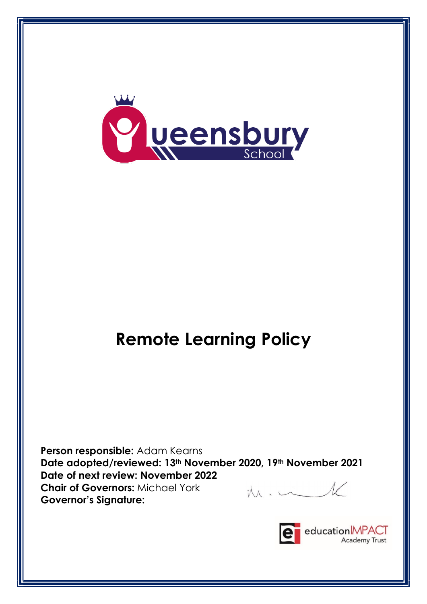

# Remote Learning Policy

Person responsible: Adam Kearns Date adopted/reviewed: 13th November 2020, 19th November 2021 Date of next review: November 2022  $M \cdot C$ Chair of Governors: Michael York Governor's Signature:

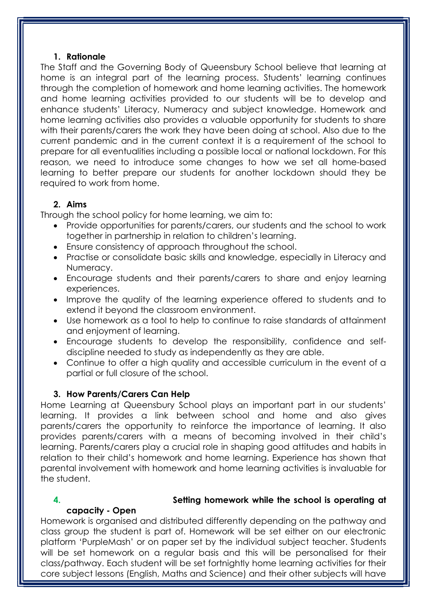#### 1. Rationale

The Staff and the Governing Body of Queensbury School believe that learning at home is an integral part of the learning process. Students' learning continues through the completion of homework and home learning activities. The homework and home learning activities provided to our students will be to develop and enhance students' Literacy, Numeracy and subject knowledge. Homework and home learning activities also provides a valuable opportunity for students to share with their parents/carers the work they have been doing at school. Also due to the current pandemic and in the current context it is a requirement of the school to prepare for all eventualities including a possible local or national lockdown. For this reason, we need to introduce some changes to how we set all home-based learning to better prepare our students for another lockdown should they be required to work from home.

#### 2. Aims

Through the school policy for home learning, we aim to:

- Provide opportunities for parents/carers, our students and the school to work together in partnership in relation to children's learning.
- Ensure consistency of approach throughout the school.
- Practise or consolidate basic skills and knowledge, especially in Literacy and Numeracy.
- Encourage students and their parents/carers to share and enjoy learning experiences.
- Improve the quality of the learning experience offered to students and to extend it beyond the classroom environment.
- Use homework as a tool to help to continue to raise standards of attainment and enjoyment of learning.
- Encourage students to develop the responsibility, confidence and selfdiscipline needed to study as independently as they are able.
- Continue to offer a high quality and accessible curriculum in the event of a partial or full closure of the school.

#### 3. How Parents/Carers Can Help

Home Learning at Queensbury School plays an important part in our students' learning. It provides a link between school and home and also gives parents/carers the opportunity to reinforce the importance of learning. It also provides parents/carers with a means of becoming involved in their child's learning. Parents/carers play a crucial role in shaping good attitudes and habits in relation to their child's homework and home learning. Experience has shown that parental involvement with homework and home learning activities is invaluable for the student.

### capacity - Open

#### 4. Setting homework while the school is operating at

Homework is organised and distributed differently depending on the pathway and class group the student is part of. Homework will be set either on our electronic platform 'PurpleMash' or on paper set by the individual subject teacher. Students will be set homework on a regular basis and this will be personalised for their class/pathway. Each student will be set fortnightly home learning activities for their core subject lessons (English, Maths and Science) and their other subjects will have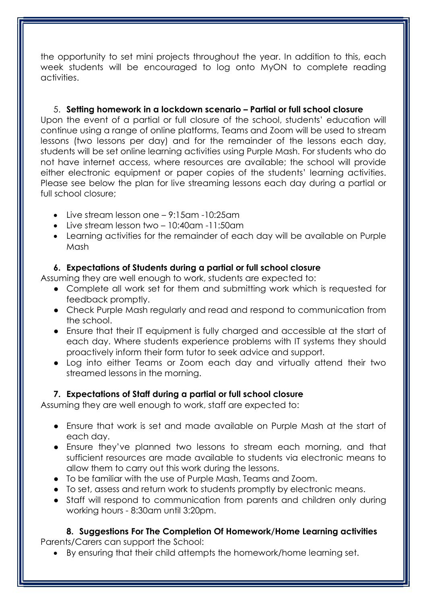the opportunity to set mini projects throughout the year. In addition to this, each week students will be encouraged to log onto MyON to complete reading activities.

5. Setting homework in a lockdown scenario – Partial or full school closure Upon the event of a partial or full closure of the school, students' education will continue using a range of online platforms, Teams and Zoom will be used to stream lessons (two lessons per day) and for the remainder of the lessons each day, students will be set online learning activities using Purple Mash. For students who do not have internet access, where resources are available; the school will provide either electronic equipment or paper copies of the students' learning activities. Please see below the plan for live streaming lessons each day during a partial or full school closure;

- $\bullet$  Live stream lesson one 9:15am -10:25am
- $\bullet$  Live stream lesson two 10:40am -11:50am
- Learning activities for the remainder of each day will be available on Purple Mash

#### 6. Expectations of Students during a partial or full school closure

Assuming they are well enough to work, students are expected to:

- Complete all work set for them and submitting work which is requested for feedback promptly.
- Check Purple Mash regularly and read and respond to communication from the school.
- Ensure that their IT equipment is fully charged and accessible at the start of each day. Where students experience problems with IT systems they should proactively inform their form tutor to seek advice and support.
- Log into either Teams or Zoom each day and virtually attend their two streamed lessons in the morning.

#### 7. Expectations of Staff during a partial or full school closure

Assuming they are well enough to work, staff are expected to:

- Ensure that work is set and made available on Purple Mash at the start of each day.
- Ensure they've planned two lessons to stream each morning, and that sufficient resources are made available to students via electronic means to allow them to carry out this work during the lessons.
- To be familiar with the use of Purple Mash, Teams and Zoom.
- To set, assess and return work to students promptly by electronic means.
- Staff will respond to communication from parents and children only during working hours - 8:30am until 3:20pm.

## 8. Suggestions For The Completion Of Homework/Home Learning activities

Parents/Carers can support the School:

By ensuring that their child attempts the homework/home learning set.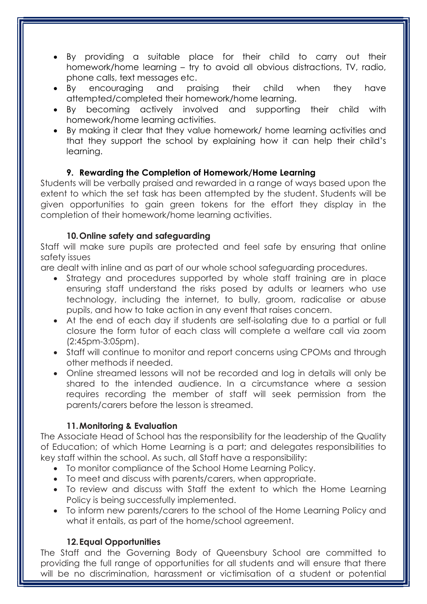- By providing a suitable place for their child to carry out their homework/home learning – try to avoid all obvious distractions, TV, radio, phone calls, text messages etc.
- By encouraging and praising their child when they have attempted/completed their homework/home learning.
- By becoming actively involved and supporting their child with homework/home learning activities.
- By making it clear that they value homework/ home learning activities and that they support the school by explaining how it can help their child's learning.

#### 9. Rewarding the Completion of Homework/Home Learning

Students will be verbally praised and rewarded in a range of ways based upon the extent to which the set task has been attempted by the student. Students will be given opportunities to gain green tokens for the effort they display in the completion of their homework/home learning activities.

#### 10.Online safety and safeguarding

Staff will make sure pupils are protected and feel safe by ensuring that online safety issues

are dealt with inline and as part of our whole school safeguarding procedures.

- Strategy and procedures supported by whole staff training are in place ensuring staff understand the risks posed by adults or learners who use technology, including the internet, to bully, groom, radicalise or abuse pupils, and how to take action in any event that raises concern.
- At the end of each day if students are self-isolating due to a partial or full closure the form tutor of each class will complete a welfare call via zoom (2:45pm-3:05pm).
- Staff will continue to monitor and report concerns using CPOMs and through other methods if needed.
- Online streamed lessons will not be recorded and log in details will only be shared to the intended audience. In a circumstance where a session requires recording the member of staff will seek permission from the parents/carers before the lesson is streamed.

#### 11.Monitoring & Evaluation

The Associate Head of School has the responsibility for the leadership of the Quality of Education; of which Home Learning is a part; and delegates responsibilities to key staff within the school. As such, all Staff have a responsibility:

- To monitor compliance of the School Home Learning Policy.
- To meet and discuss with parents/carers, when appropriate.
- To review and discuss with Staff the extent to which the Home Learning Policy is being successfully implemented.
- To inform new parents/carers to the school of the Home Learning Policy and what it entails, as part of the home/school agreement.

#### 12.Equal Opportunities

The Staff and the Governing Body of Queensbury School are committed to providing the full range of opportunities for all students and will ensure that there will be no discrimination, harassment or victimisation of a student or potential